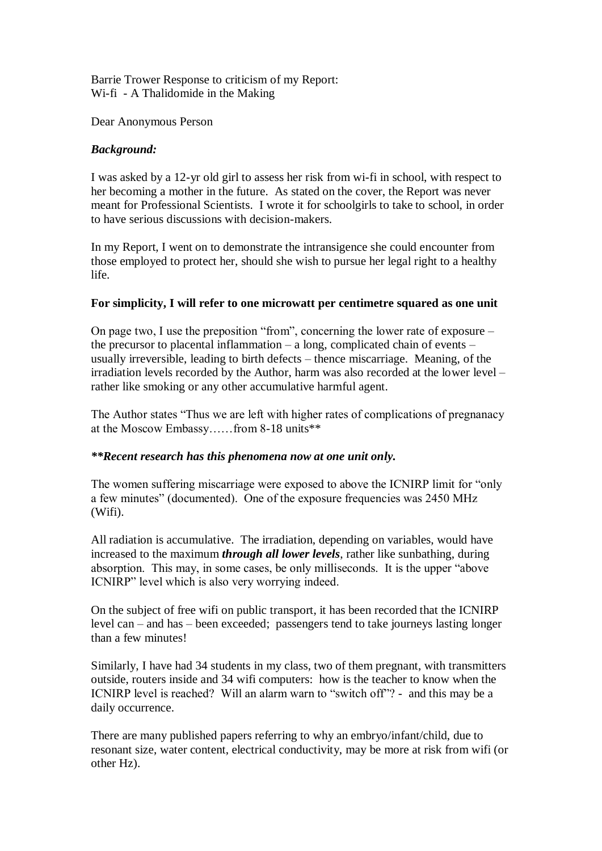## Barrie Trower Response to criticism of my Report: Wi-fi - A Thalidomide in the Making

Dear Anonymous Person

## *Background:*

I was asked by a 12-yr old girl to assess her risk from wi-fi in school, with respect to her becoming a mother in the future. As stated on the cover, the Report was never meant for Professional Scientists. I wrote it for schoolgirls to take to school, in order to have serious discussions with decision-makers.

In my Report, I went on to demonstrate the intransigence she could encounter from those employed to protect her, should she wish to pursue her legal right to a healthy life.

## **For simplicity, I will refer to one microwatt per centimetre squared as one unit**

On page two, I use the preposition "from", concerning the lower rate of exposure – the precursor to placental inflammation – a long, complicated chain of events – usually irreversible, leading to birth defects – thence miscarriage. Meaning, of the irradiation levels recorded by the Author, harm was also recorded at the lower level – rather like smoking or any other accumulative harmful agent.

The Author states "Thus we are left with higher rates of complications of pregnanacy at the Moscow Embassy……from 8-18 units\*\*

## *\*\*Recent research has this phenomena now at one unit only.*

The women suffering miscarriage were exposed to above the ICNIRP limit for "only a few minutes" (documented). One of the exposure frequencies was 2450 MHz (Wifi).

All radiation is accumulative. The irradiation, depending on variables, would have increased to the maximum *through all lower levels*, rather like sunbathing, during absorption. This may, in some cases, be only milliseconds. It is the upper "above ICNIRP" level which is also very worrying indeed.

On the subject of free wifi on public transport, it has been recorded that the ICNIRP level can – and has – been exceeded; passengers tend to take journeys lasting longer than a few minutes!

Similarly, I have had 34 students in my class, two of them pregnant, with transmitters outside, routers inside and 34 wifi computers: how is the teacher to know when the ICNIRP level is reached? Will an alarm warn to "switch off"? - and this may be a daily occurrence.

There are many published papers referring to why an embryo/infant/child, due to resonant size, water content, electrical conductivity, may be more at risk from wifi (or other Hz).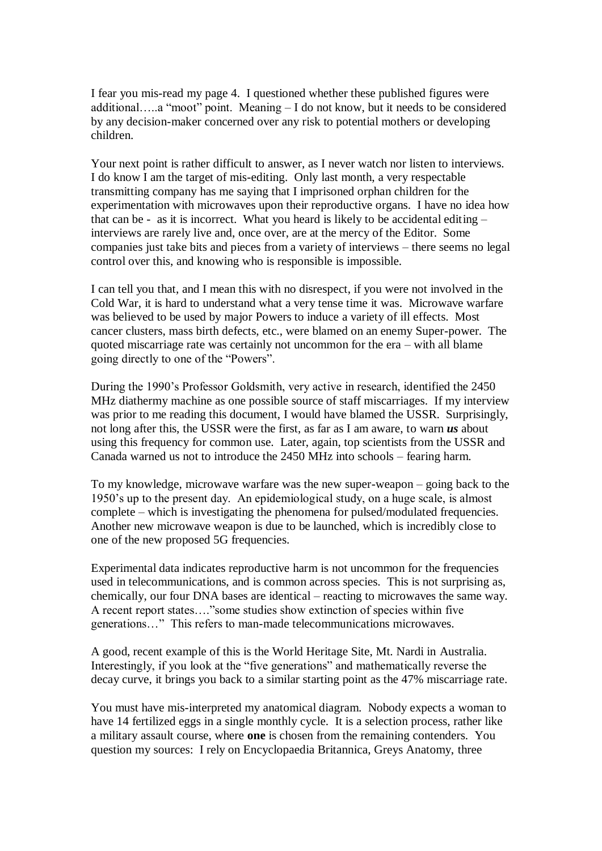I fear you mis-read my page 4. I questioned whether these published figures were additional…..a "moot" point. Meaning – I do not know, but it needs to be considered by any decision-maker concerned over any risk to potential mothers or developing children.

Your next point is rather difficult to answer, as I never watch nor listen to interviews. I do know I am the target of mis-editing. Only last month, a very respectable transmitting company has me saying that I imprisoned orphan children for the experimentation with microwaves upon their reproductive organs. I have no idea how that can be - as it is incorrect. What you heard is likely to be accidental editing – interviews are rarely live and, once over, are at the mercy of the Editor. Some companies just take bits and pieces from a variety of interviews – there seems no legal control over this, and knowing who is responsible is impossible.

I can tell you that, and I mean this with no disrespect, if you were not involved in the Cold War, it is hard to understand what a very tense time it was. Microwave warfare was believed to be used by major Powers to induce a variety of ill effects. Most cancer clusters, mass birth defects, etc., were blamed on an enemy Super-power. The quoted miscarriage rate was certainly not uncommon for the era – with all blame going directly to one of the "Powers".

During the 1990's Professor Goldsmith, very active in research, identified the 2450 MHz diathermy machine as one possible source of staff miscarriages. If my interview was prior to me reading this document, I would have blamed the USSR. Surprisingly, not long after this, the USSR were the first, as far as I am aware, to warn *us* about using this frequency for common use. Later, again, top scientists from the USSR and Canada warned us not to introduce the 2450 MHz into schools – fearing harm.

To my knowledge, microwave warfare was the new super-weapon – going back to the 1950's up to the present day. An epidemiological study, on a huge scale, is almost complete – which is investigating the phenomena for pulsed/modulated frequencies. Another new microwave weapon is due to be launched, which is incredibly close to one of the new proposed 5G frequencies.

Experimental data indicates reproductive harm is not uncommon for the frequencies used in telecommunications, and is common across species. This is not surprising as, chemically, our four DNA bases are identical – reacting to microwaves the same way. A recent report states…."some studies show extinction of species within five generations…" This refers to man-made telecommunications microwaves.

A good, recent example of this is the World Heritage Site, Mt. Nardi in Australia. Interestingly, if you look at the "five generations" and mathematically reverse the decay curve, it brings you back to a similar starting point as the 47% miscarriage rate.

You must have mis-interpreted my anatomical diagram. Nobody expects a woman to have 14 fertilized eggs in a single monthly cycle. It is a selection process, rather like a military assault course, where **one** is chosen from the remaining contenders. You question my sources: I rely on Encyclopaedia Britannica, Greys Anatomy, three